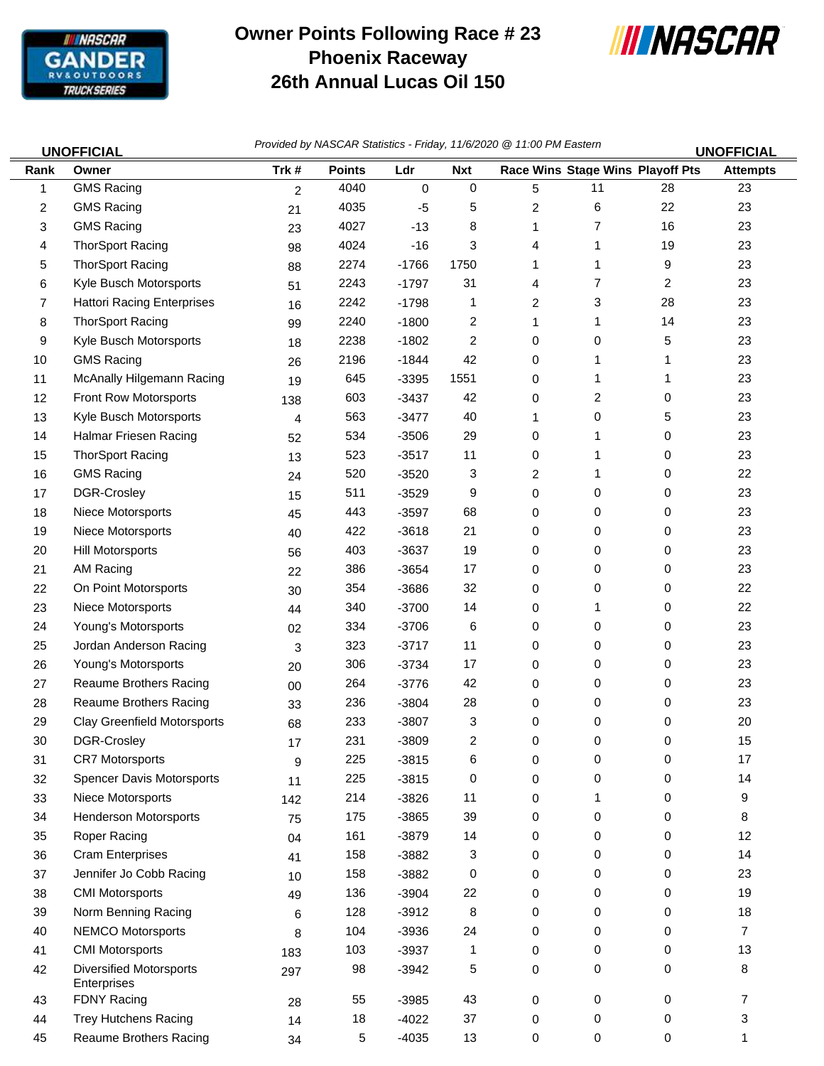

## **Owner Points Following Race # 23 Phoenix Raceway 26th Annual Lucas Oil 150**



45 Reaume Brothers Racing 34 5 -4035 13 0 0 0 1